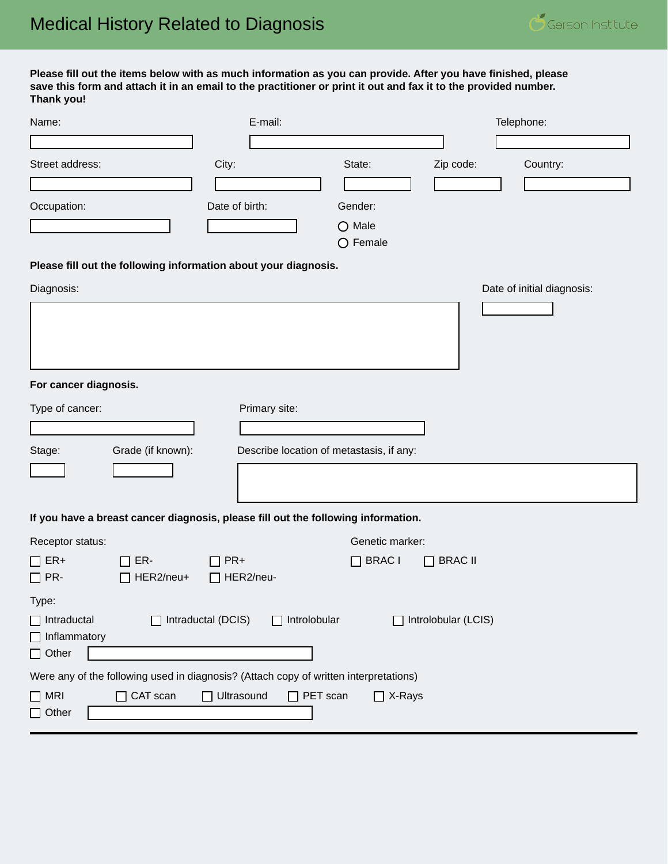**Please fill out the items below with as much information as you can provide. After you have finished, please save this form and attach it in an email to the practitioner or print it out and fax it to the provided number. Thank you!**

| Name:                                                                                                                                  | E-mail:                                  |                                      |                     | Telephone:                 |
|----------------------------------------------------------------------------------------------------------------------------------------|------------------------------------------|--------------------------------------|---------------------|----------------------------|
| Street address:                                                                                                                        |                                          | State:                               |                     |                            |
|                                                                                                                                        | City:                                    |                                      | Zip code:           | Country:                   |
| Occupation:                                                                                                                            | Date of birth:                           | Gender:                              |                     |                            |
|                                                                                                                                        |                                          | $\bigcirc$ Male<br>$\bigcirc$ Female |                     |                            |
| Please fill out the following information about your diagnosis.                                                                        |                                          |                                      |                     |                            |
| Diagnosis:                                                                                                                             |                                          |                                      |                     | Date of initial diagnosis: |
|                                                                                                                                        |                                          |                                      |                     |                            |
| For cancer diagnosis.                                                                                                                  |                                          |                                      |                     |                            |
| Type of cancer:                                                                                                                        | Primary site:                            |                                      |                     |                            |
|                                                                                                                                        |                                          |                                      |                     |                            |
| Grade (if known):<br>Stage:                                                                                                            | Describe location of metastasis, if any: |                                      |                     |                            |
|                                                                                                                                        |                                          |                                      |                     |                            |
| If you have a breast cancer diagnosis, please fill out the following information.                                                      |                                          |                                      |                     |                            |
| Receptor status:                                                                                                                       |                                          | Genetic marker:                      |                     |                            |
| $\Box$ ER+<br>ER-<br>$\Box$ PR-<br>HER2/neu+                                                                                           | $\Box$ PR+<br>$\Box$ HER2/neu-           | $\Box$ BRAC I                        | $\Box$ BRAC II      |                            |
| Type:<br>$\Box$ Intraductal<br>$\Box$ Intraductal (DCIS)<br>$\Box$ Inflammatory<br>$\Box$ Other                                        | $\Box$ Introlobular                      | ΙI                                   | Introlobular (LCIS) |                            |
| Were any of the following used in diagnosis? (Attach copy of written interpretations)<br>$\Box$ CAT scan<br>$\Box$ MRI<br>$\Box$ Other | Ultrasound<br>$\Box$ PET scan            | $\Box$ X-Rays                        |                     |                            |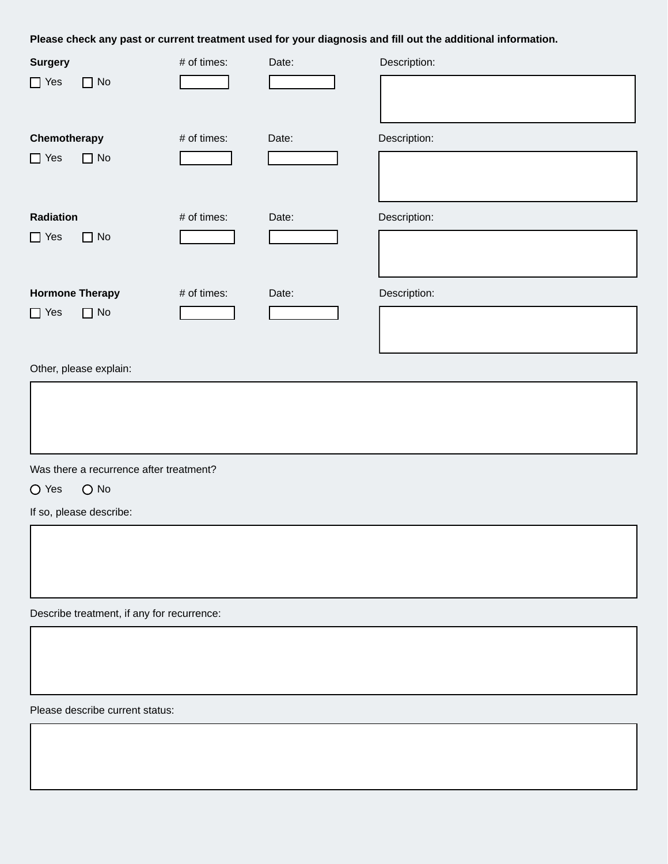**Please check any past or current treatment used for your diagnosis and fill out the additional information.**

| <b>Surgery</b>          | # of times: | Date: | Description: |
|-------------------------|-------------|-------|--------------|
| $\Box$ No<br>$\Box$ Yes |             |       |              |
| Chemotherapy            | # of times: | Date: | Description: |
| $\Box$ No<br>$\Box$ Yes |             |       |              |
| Radiation               | # of times: | Date: | Description: |
| $\Box$ No<br>$\Box$ Yes |             |       |              |
| <b>Hormone Therapy</b>  | # of times: | Date: | Description: |
| $\Box$ No<br>$\Box$ Yes |             |       |              |

Other, please explain:

Was there a recurrence after treatment?

O Yes O No

If so, please describe:

Describe treatment, if any for recurrence:

Please describe current status: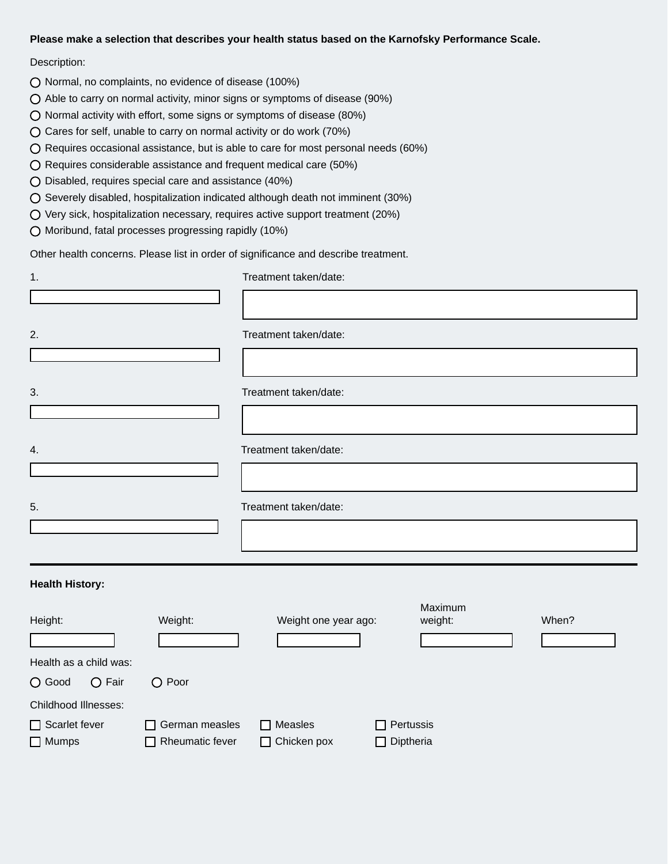#### **Please make a selection that describes your health status based on the Karnofsky Performance Scale.**

#### Description:

- O Normal, no complaints, no evidence of disease (100%)
- $\bigcirc$  Able to carry on normal activity, minor signs or symptoms of disease (90%)
- $\bigcirc$  Normal activity with effort, some signs or symptoms of disease (80%)
- Cares for self, unable to carry on normal activity or do work (70%)
- $\bigcirc$  Requires occasional assistance, but is able to care for most personal needs (60%)
- Requires considerable assistance and frequent medical care (50%)
- Disabled, requires special care and assistance (40%)
- Severely disabled, hospitalization indicated although death not imminent (30%)
- Very sick, hospitalization necessary, requires active support treatment (20%)
- Moribund, fatal processes progressing rapidly (10%)

Other health concerns. Please list in order of significance and describe treatment.

| 1.                            |                                                 | Treatment taken/date:                |                                  |       |
|-------------------------------|-------------------------------------------------|--------------------------------------|----------------------------------|-------|
|                               |                                                 |                                      |                                  |       |
| 2.                            |                                                 | Treatment taken/date:                |                                  |       |
|                               |                                                 |                                      |                                  |       |
| 3.                            |                                                 | Treatment taken/date:                |                                  |       |
|                               |                                                 |                                      |                                  |       |
| 4.                            |                                                 | Treatment taken/date:                |                                  |       |
|                               |                                                 |                                      |                                  |       |
| 5.                            |                                                 | Treatment taken/date:                |                                  |       |
|                               |                                                 |                                      |                                  |       |
| <b>Health History:</b>        |                                                 |                                      |                                  |       |
| Height:                       | Weight:                                         | Weight one year ago:                 | Maximum<br>weight:               | When? |
| Health as a child was:        |                                                 |                                      |                                  |       |
| O Good<br>$\bigcirc$ Fair     | O Poor                                          |                                      |                                  |       |
| Childhood Illnesses:          |                                                 |                                      |                                  |       |
| Scarlet fever<br>$\Box$ Mumps | $\Box$ German measles<br>$\Box$ Rheumatic fever | $\Box$ Measles<br>$\Box$ Chicken pox | Pertussis<br>Diptheria<br>$\Box$ |       |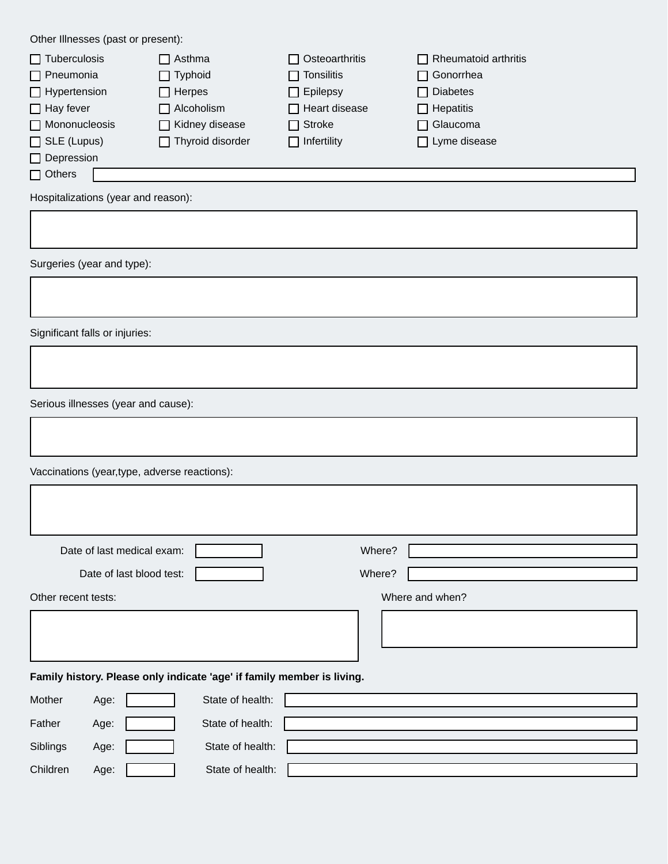Other Illnesses (past or present):

| $\Box$ Tuberculosis  | $\Box$ Asthma           | $\Box$ Osteoarthritis | $\Box$ Rheumatoid arthritis |
|----------------------|-------------------------|-----------------------|-----------------------------|
| $\Box$ Pneumonia     | $\Box$ Typhoid          | $\Box$ Tonsilitis     | □ Gonorrhea                 |
| $\Box$ Hypertension  | $\Box$ Herpes           | $\Box$ Epilepsy       | □ Diabetes                  |
| $\Box$ Hay fever     | $\Box$ Alcoholism       | $\Box$ Heart disease  | $\Box$ Hepatitis            |
| $\Box$ Mononucleosis | $\Box$ Kidney disease   | $\Box$ Stroke         | $\Box$ Glaucoma             |
| $\Box$ SLE (Lupus)   | $\Box$ Thyroid disorder | $\Box$ Infertility    | $\Box$ Lyme disease         |
| $\Box$ Depression    |                         |                       |                             |
| $\Box$ Others        |                         |                       |                             |
|                      |                         |                       |                             |

Hospitalizations (year and reason):

Surgeries (year and type):

Significant falls or injuries:

 $\Gamma$ 

Serious illnesses (year and cause):

Vaccinations (year,type, adverse reactions):

|                     | Date of last medical exam: |                                                                        | Where?          |
|---------------------|----------------------------|------------------------------------------------------------------------|-----------------|
|                     | Date of last blood test:   |                                                                        | Where?          |
| Other recent tests: |                            |                                                                        | Where and when? |
|                     |                            |                                                                        |                 |
|                     |                            | Family history. Please only indicate 'age' if family member is living. |                 |
| Mother              | Age:                       | State of health:                                                       |                 |
| Father              | Age:                       | State of health:                                                       |                 |

| Siblings | Age: | State of health: |  |
|----------|------|------------------|--|
| Children | Age: | State of health: |  |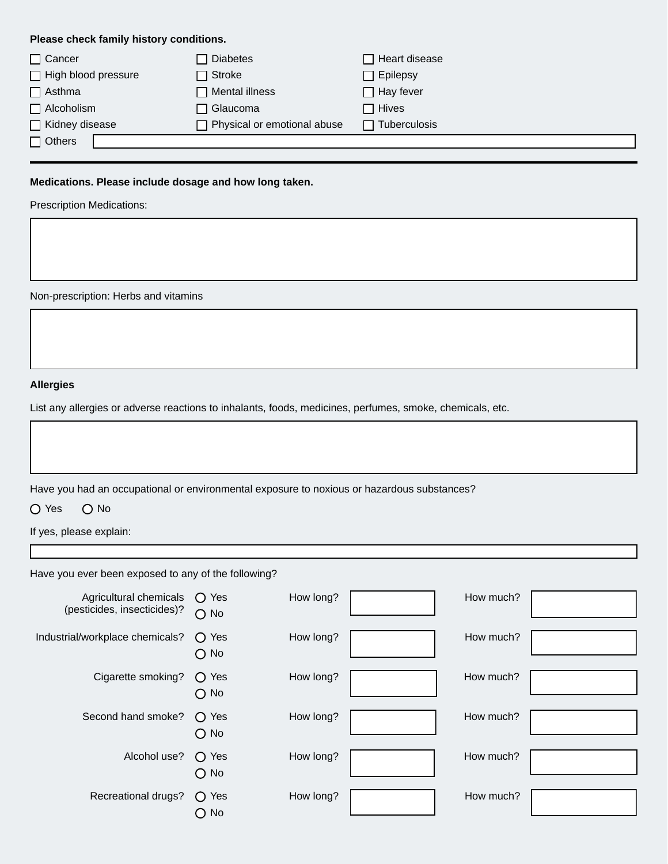## **Please check family history conditions.**

| $\Box$ Cancer         | <b>Diabetes</b>             | Heart disease    |
|-----------------------|-----------------------------|------------------|
| High blood pressure   | $\sqcap$ Stroke             | $\Box$ Epilepsy  |
| $\Box$ Asthma         | Mental illness              | $\Box$ Hay fever |
| $\Box$ Alcoholism     | ヿ Glaucoma                  | $\sqcap$ Hives   |
| $\Box$ Kidney disease | Physical or emotional abuse | Tuberculosis     |
| $\Box$ Others         |                             |                  |

## **Medications. Please include dosage and how long taken.**

Prescription Medications:

Non-prescription: Herbs and vitamins

## **Allergies**

List any allergies or adverse reactions to inhalants, foods, medicines, perfumes, smoke, chemicals, etc.

Have you had an occupational or environmental exposure to noxious or hazardous substances?

O Yes O No

If yes, please explain:

Have you ever been exposed to any of the following?

| Agricultural chemicals<br>(pesticides, insecticides)? | $\bigcirc$ Yes<br>$\bigcirc$ No  | How long? | How much? |  |
|-------------------------------------------------------|----------------------------------|-----------|-----------|--|
| Industrial/workplace chemicals?                       | $\bigcirc$ Yes<br>$\bigcirc$ No  | How long? | How much? |  |
| Cigarette smoking?                                    | Yes<br>$\Omega$<br>$\bigcirc$ No | How long? | How much? |  |
| Second hand smoke?                                    | $\bigcirc$ Yes<br>$\bigcirc$ No  | How long? | How much? |  |
| Alcohol use?                                          | $\bigcirc$ Yes<br>$\bigcirc$ No  | How long? | How much? |  |
| Recreational drugs?                                   | $\bigcirc$ Yes<br>No<br>∩        | How long? | How much? |  |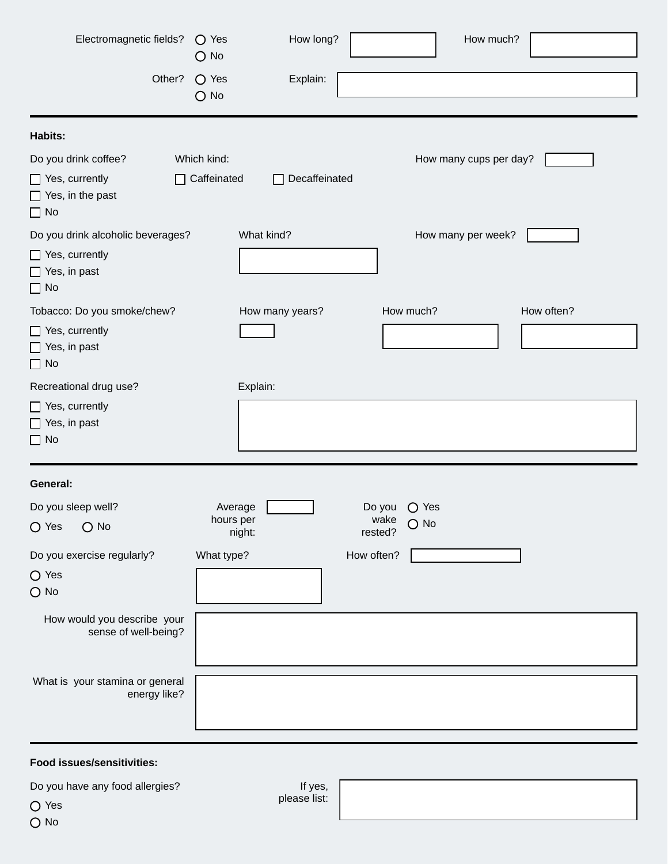| Electromagnetic fields?                                                                 | $\bigcirc$ Yes<br>$\bigcirc$ No   | How long?       |                 | How much?              |            |
|-----------------------------------------------------------------------------------------|-----------------------------------|-----------------|-----------------|------------------------|------------|
| Other?                                                                                  | $\bigcirc$ Yes<br>$\bigcirc$ No   | Explain:        |                 |                        |            |
| Habits:                                                                                 |                                   |                 |                 |                        |            |
| Do you drink coffee?<br>$\Box$ Yes, currently<br>$\Box$ Yes, in the past<br>$\Box$ No   | Which kind:<br>$\Box$ Caffeinated | □ Decaffeinated |                 | How many cups per day? |            |
| Do you drink alcoholic beverages?<br>$\Box$ Yes, currently<br>Yes, in past<br>$\Box$ No |                                   | What kind?      |                 | How many per week?     |            |
| Tobacco: Do you smoke/chew?<br>$\Box$ Yes, currently<br>Yes, in past<br>$\Box$ No       |                                   | How many years? |                 | How much?              | How often? |
| Recreational drug use?                                                                  |                                   | Explain:        |                 |                        |            |
| $\Box$ Yes, currently<br>$\Box$ Yes, in past<br>$\Box$ No                               |                                   |                 |                 |                        |            |
| General:                                                                                |                                   |                 |                 |                        |            |
| Do you sleep well?                                                                      | Average                           |                 | Do you          | $\bigcirc$ Yes         |            |
| $\bigcirc$ No<br>$\bigcirc$ Yes                                                         | hours per                         | night:          | wake<br>rested? | $O$ No                 |            |
| Do you exercise regularly?<br>$\bigcirc$ Yes<br>$O$ No                                  | What type?                        |                 | How often?      |                        |            |
| How would you describe your<br>sense of well-being?                                     |                                   |                 |                 |                        |            |
| What is your stamina or general<br>energy like?                                         |                                   |                 |                 |                        |            |

# **Food issues/sensitivities:**

| Do you have any food allergies? |  |  |  |
|---------------------------------|--|--|--|
|---------------------------------|--|--|--|

O Yes

If yes, please list: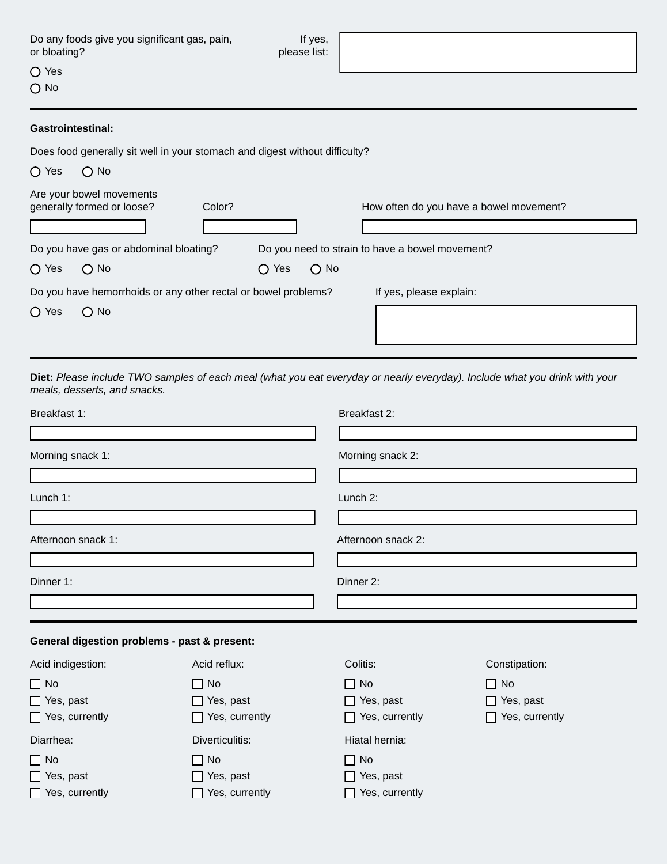| Do any foods give you significant gas, pain, |  |
|----------------------------------------------|--|
| or bloating?                                 |  |

If yes, please list:

O Yes

O No

#### **Gastrointestinal:**

Does food generally sit well in your stomach and digest without difficulty?

| $\bigcirc$ Yes | $\bigcirc$ No                                                  |                |               |                                                 |
|----------------|----------------------------------------------------------------|----------------|---------------|-------------------------------------------------|
|                | Are your bowel movements<br>generally formed or loose?         | Color?         |               | How often do you have a bowel movement?         |
|                |                                                                |                |               |                                                 |
|                | Do you have gas or abdominal bloating?                         |                |               | Do you need to strain to have a bowel movement? |
| $\bigcirc$ Yes | $\bigcirc$ No                                                  | $\bigcirc$ Yes | $\bigcirc$ No |                                                 |
|                | Do you have hemorrhoids or any other rectal or bowel problems? |                |               | If yes, please explain:                         |
| $\bigcirc$ Yes | $\bigcirc$ No                                                  |                |               |                                                 |
|                |                                                                |                |               |                                                 |

**Diet:** *Please include TWO samples of each meal (what you eat everyday or nearly everyday). Include what you drink with your meals, desserts, and snacks.*

| Breakfast 1:                                                        |                                                                           | Breakfast 2:                                                           |                                                        |  |
|---------------------------------------------------------------------|---------------------------------------------------------------------------|------------------------------------------------------------------------|--------------------------------------------------------|--|
| Morning snack 1:                                                    |                                                                           | Morning snack 2:                                                       |                                                        |  |
| Lunch 1:                                                            |                                                                           | Lunch 2:                                                               |                                                        |  |
| Afternoon snack 1:                                                  |                                                                           | Afternoon snack 2:                                                     |                                                        |  |
| Dinner 1:                                                           |                                                                           | Dinner 2:                                                              |                                                        |  |
| General digestion problems - past & present:                        |                                                                           |                                                                        |                                                        |  |
| Acid indigestion:                                                   | Acid reflux:                                                              | Colitis:                                                               | Constipation:                                          |  |
| $\Box$ No<br>$\Box$ Yes, past<br>$\Box$ Yes, currently              | $\Box$ No<br>$\Box$ Yes, past<br>$\Box$ Yes, currently                    | $\Box$ No<br>$\Box$ Yes, past<br>$\Box$ Yes, currently                 | $\Box$ No<br>$\Box$ Yes, past<br>$\Box$ Yes, currently |  |
| Diarrhea:<br>$\Box$ No<br>$\Box$ Yes, past<br>$\Box$ Yes, currently | Diverticulitis:<br>$\Box$ No<br>$\Box$ Yes, past<br>$\Box$ Yes, currently | Hiatal hernia:<br>$\Box$ No<br>$\Box$ Yes, past<br>Yes, currently<br>П |                                                        |  |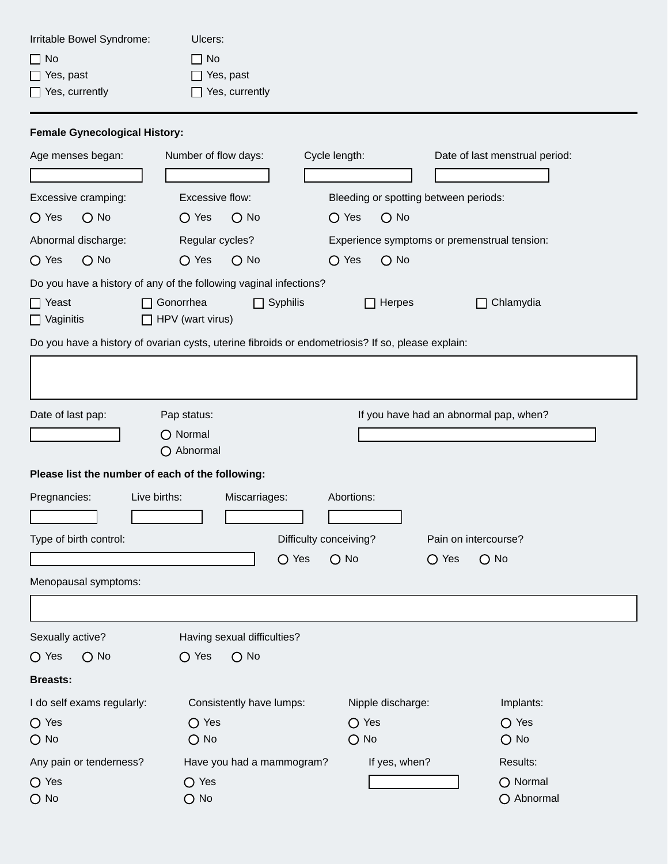| Irritable Bowel Syndrome:                                 | Ulcers:              |               |                                       |  |  |  |  |
|-----------------------------------------------------------|----------------------|---------------|---------------------------------------|--|--|--|--|
| $\Box$ No                                                 | $\Box$ No            |               |                                       |  |  |  |  |
| Yes, past                                                 | Yes, past            |               |                                       |  |  |  |  |
| Yes, currently                                            | Yes, currently       |               |                                       |  |  |  |  |
| <b>Female Gynecological History:</b><br>Age menses began: | Number of flow days: | Cycle length: | Date of last menstrual period:        |  |  |  |  |
|                                                           |                      |               |                                       |  |  |  |  |
| Excessive cramping:                                       | Excessive flow:      |               | Bleeding or spotting between periods: |  |  |  |  |
|                                                           |                      |               |                                       |  |  |  |  |

Abnormal discharge: Regular cycles? Experience symptoms or premenstrual tension:

 $O$  No

O Yes O No O Yes

Do you have a history of any of the following vaginal infections?

O Yes O No

| $\Box$ Yeast<br>$\Box$ Vaginitis                                                                  | Gonorrhea<br>HPV (wart virus)                  | $\Box$ Syphilis | $\Box$ Herpes     |                | Chlamydia<br>П                         |  |  |  |  |
|---------------------------------------------------------------------------------------------------|------------------------------------------------|-----------------|-------------------|----------------|----------------------------------------|--|--|--|--|
| Do you have a history of ovarian cysts, uterine fibroids or endometriosis? If so, please explain: |                                                |                 |                   |                |                                        |  |  |  |  |
|                                                                                                   |                                                |                 |                   |                |                                        |  |  |  |  |
| Date of last pap:                                                                                 | Pap status:                                    |                 |                   |                | If you have had an abnormal pap, when? |  |  |  |  |
|                                                                                                   | O Normal<br>O Abnormal                         |                 |                   |                |                                        |  |  |  |  |
| Please list the number of each of the following:                                                  |                                                |                 |                   |                |                                        |  |  |  |  |
| Pregnancies:                                                                                      | Live births:<br>Miscarriages:                  |                 | Abortions:        |                |                                        |  |  |  |  |
| Type of birth control:                                                                            | Difficulty conceiving?<br>Pain on intercourse? |                 |                   |                |                                        |  |  |  |  |
|                                                                                                   |                                                | $\bigcirc$ Yes  | $\bigcirc$ No     | $\bigcirc$ Yes | $O$ No                                 |  |  |  |  |
| Menopausal symptoms:                                                                              |                                                |                 |                   |                |                                        |  |  |  |  |
|                                                                                                   |                                                |                 |                   |                |                                        |  |  |  |  |
| Sexually active?                                                                                  | Having sexual difficulties?                    |                 |                   |                |                                        |  |  |  |  |
| $\bigcirc$ Yes<br>$\bigcirc$ No                                                                   | $\bigcirc$ Yes<br>$\bigcirc$ No                |                 |                   |                |                                        |  |  |  |  |
| <b>Breasts:</b>                                                                                   |                                                |                 |                   |                |                                        |  |  |  |  |
| I do self exams regularly:                                                                        | Consistently have lumps:                       |                 | Nipple discharge: |                | Implants:                              |  |  |  |  |
| $\bigcirc$ Yes                                                                                    | $\bigcirc$ Yes                                 |                 | $\bigcirc$ Yes    |                | $\bigcirc$ Yes                         |  |  |  |  |
| $\bigcirc$ No                                                                                     | $\bigcirc$ No                                  |                 | $O$ No            |                | $\bigcirc$ No                          |  |  |  |  |
| Any pain or tenderness?                                                                           | Have you had a mammogram?                      |                 | If yes, when?     |                | Results:                               |  |  |  |  |
| $\bigcirc$ Yes                                                                                    | $\bigcirc$ Yes                                 |                 |                   |                | O Normal                               |  |  |  |  |
| $\bigcirc$ No                                                                                     | $\bigcirc$ No                                  |                 |                   |                | O Abnormal                             |  |  |  |  |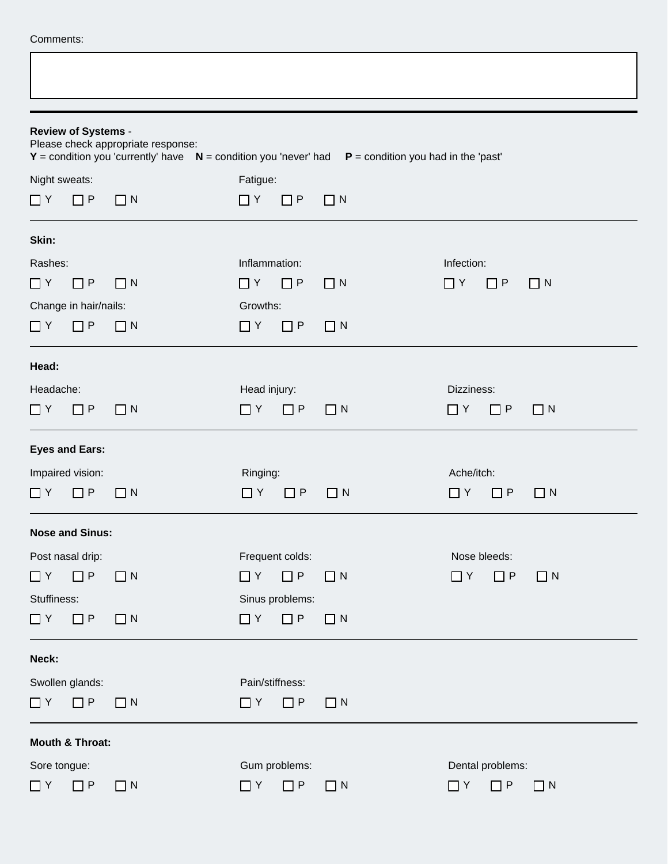|  | Comments: |
|--|-----------|
|--|-----------|

 $\overline{\Gamma}$ 

|                                                   | <b>Review of Systems -</b> | Please check appropriate response: |                 |                 |          | $Y =$ condition you 'currently' have $N =$ condition you 'never' had $P =$ condition you had in the 'past' |
|---------------------------------------------------|----------------------------|------------------------------------|-----------------|-----------------|----------|------------------------------------------------------------------------------------------------------------|
| Night sweats:                                     |                            |                                    | Fatigue:        |                 |          |                                                                                                            |
| $\Box$ Y                                          | $\Box P$                   | $\Box$ N                           | $\Box$ Y        | $\Box P$        | $\Box$ N |                                                                                                            |
| Skin:                                             |                            |                                    |                 |                 |          |                                                                                                            |
| Rashes:                                           |                            |                                    | Inflammation:   |                 |          | Infection:                                                                                                 |
| $\Box$ Y                                          | $\Box$ P                   | $\Box$ N                           | $\Box$ Y        | $\Box P$        | $\Box$ N | $\Box$ Y<br>$\Box$ P<br>$\Box N$                                                                           |
|                                                   | Change in hair/nails:      |                                    | Growths:        |                 |          |                                                                                                            |
| $\Box$ Y                                          | $\Box P$                   | $\Box$ N                           | $\Box$ Y        | $\Box$ P        | $\Box$ N |                                                                                                            |
| Head:                                             |                            |                                    |                 |                 |          |                                                                                                            |
| Headache:                                         |                            |                                    | Head injury:    |                 |          | Dizziness:                                                                                                 |
| $\Box$ Y                                          | $\Box$ P                   | $\Box$ N                           | $\Box$ Y        | $\Box P$        | $\Box$ N | $\Box P$<br>$\Box$ Y<br>$\Box$ N                                                                           |
|                                                   | <b>Eyes and Ears:</b>      |                                    |                 |                 |          |                                                                                                            |
|                                                   | Impaired vision:           |                                    | Ringing:        |                 |          | Ache/itch:                                                                                                 |
| ПY                                                | $\Box$ P                   | $\Box$ N                           | $\Box$ Y        | $\Box$ P        | $\Box$ N | ∏ Y<br>$\Box$ P<br>$\Box$ N                                                                                |
|                                                   | <b>Nose and Sinus:</b>     |                                    |                 |                 |          |                                                                                                            |
|                                                   | Post nasal drip:           |                                    |                 | Frequent colds: |          | Nose bleeds:                                                                                               |
| $\Box$ $Y$ $\Box$ $P$                             |                            | $\Box$ N                           | $\Box$ Y        | $\Box$ P        | $\Box$ N | $\Box$ Y<br>$\Box N$<br>$\Box P$                                                                           |
| Stuffiness:                                       |                            |                                    |                 | Sinus problems: |          |                                                                                                            |
| $\Box$ Y                                          | $\Box P$                   | $\Box$ N                           | $\Box$ Y        | $\Box P$        | $\Box$ N |                                                                                                            |
| Neck:                                             |                            |                                    |                 |                 |          |                                                                                                            |
|                                                   | Swollen glands:            |                                    | Pain/stiffness: |                 |          |                                                                                                            |
| $\Box$ Y                                          | $\Box$ P                   | $\Box$ N                           | $\Box$ Y        | $\Box$ P        | $\Box$ N |                                                                                                            |
|                                                   | Mouth & Throat:            |                                    |                 |                 |          |                                                                                                            |
| Sore tongue:<br>Gum problems:<br>Dental problems: |                            |                                    |                 |                 |          |                                                                                                            |
| $\Box$ Y                                          | $\Box P$                   | $\Box$ N                           | $\Box$ Y        | $\Box P$        | $\Box$ N | $\Box$ Y<br>$\Box P$<br>$\Box$ N                                                                           |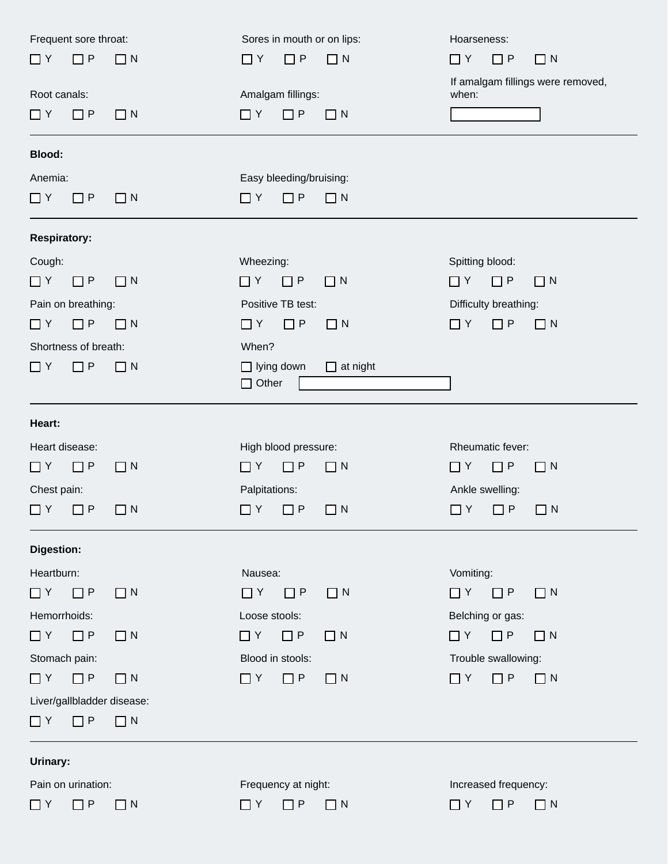| Frequent sore throat:      |          | Sores in mouth or on lips: |                 | Hoarseness:                                |
|----------------------------|----------|----------------------------|-----------------|--------------------------------------------|
| $\Box$ P<br>$\Box$ Y       | $\Box$ N | $\Box$ Y<br>$\Box P$       | $\Box$ N        | $\Box$ Y<br>$\Box$ P<br>$\Box$ N           |
| Root canals:               |          | Amalgam fillings:          |                 | If amalgam fillings were removed,<br>when: |
| $\Box P$<br>$\Box$ Y       | $\Box$ N | $\Box$ Y<br>$\Box$ P       | $\Box$ N        |                                            |
|                            |          |                            |                 |                                            |
| <b>Blood:</b>              |          |                            |                 |                                            |
| Anemia:                    |          | Easy bleeding/bruising:    |                 |                                            |
| $\Box$ Y<br>$\Box$ P       | $\Box$ N | $\Box P$<br>$\Box$ Y       | $\Box$ N        |                                            |
| <b>Respiratory:</b>        |          |                            |                 |                                            |
| Cough:                     |          | Wheezing:                  |                 | Spitting blood:                            |
| $\Box$ Y<br>$\Box$ P       | $\Box$ N | $\Box$ Y<br>$\Box P$       | $\Box$ N        | $\Box$ Y<br>$\Box$ P<br>$\Box$ N           |
| Pain on breathing:         |          | Positive TB test:          |                 | Difficulty breathing:                      |
| $\Box P$<br>$\Box$ Y       | $\Box$ N | $\Box P$<br>$\Box$ Y       | $\Box$ N        | $\Box$ Y<br>$\Box$ P<br>$\Box$ N           |
| Shortness of breath:       |          | When?                      |                 |                                            |
| $\Box$ Y<br>$\Box P$       | $\Box$ N | $\Box$ lying down          | $\Box$ at night |                                            |
|                            |          | $\Box$ Other               |                 |                                            |
| Heart:                     |          |                            |                 |                                            |
| Heart disease:             |          | High blood pressure:       |                 | Rheumatic fever:                           |
| $\Box P$<br>$\Box$ Y       | $\Box$ N | $\Box P$<br>$\Box$ Y       | $\Box$ N        | $\Box$ P<br>$\Box$ Y<br>$\Box$ N           |
| Chest pain:                |          | Palpitations:              |                 | Ankle swelling:                            |
| $\Box$ P<br>$\Box$ Y       | $\Box$ N | $\Box P$<br>$\Box$ Y       | $\Box$ N        | $\Box P$<br>$\Box$ Y<br>$\Box$ N           |
| Digestion:                 |          |                            |                 |                                            |
| Heartburn:                 |          | Nausea:                    |                 | Vomiting:                                  |
| $\Box$ P<br>$\Box$ Y       | $\Box$ N | $\Box$ $Y$ $\Box$ $P$      | $\Box$ N        | $\Box$ $Y$ $\Box$ $P$<br>$\Box$ N          |
| Hemorrhoids:               |          | Loose stools:              |                 | Belching or gas:                           |
| $\Box$ Y<br>$\Box P$       | $\Box$ N | $\Box$ Y<br>$\Box P$       | $\Box$ N        | $\Box$ Y<br>$\Box$ P<br>$\Box N$           |
|                            |          |                            |                 |                                            |
| Stomach pain:              |          | Blood in stools:           |                 | Trouble swallowing:                        |
| $\Box$ Y<br>$\Box$ P       | $\Box$ N | $\Box$ Y<br>$\Box P$       | $\Box$ N        | $\Box$ Y<br>$\Box P$<br>$\Box$ N           |
| Liver/gallbladder disease: |          |                            |                 |                                            |
| $\Box$ P<br>$\Box$ Y       | $\Box$ N |                            |                 |                                            |
| Urinary:                   |          |                            |                 |                                            |
| Pain on urination:         |          | Frequency at night:        |                 | Increased frequency:                       |
| $\Box$ P<br>$\Box$ Y       | $\Box$ N | $\Box$ Y<br>$\Box P$       | $\Box$ N        | $\Box P$<br>$\Box$ Y<br>$\Box$ N           |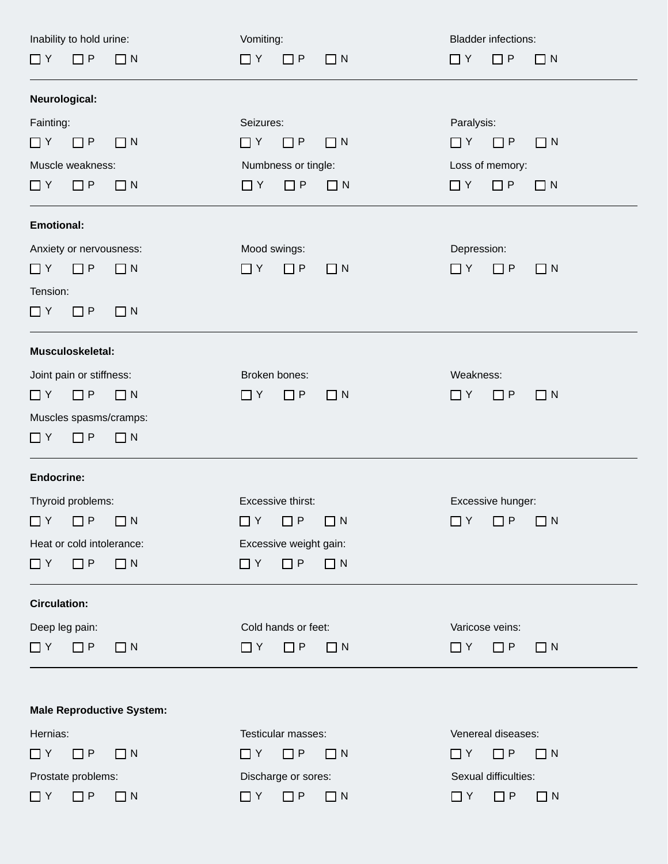| Inability to hold urine:         | Vomiting:                        | <b>Bladder infections:</b>       |  |  |  |  |
|----------------------------------|----------------------------------|----------------------------------|--|--|--|--|
| $\Box P$<br>$\Box$ N<br>$\Box$ Y | $\Box$ N<br>$\Box$ Y<br>$\Box$ P | $\Box$ Y<br>$\Box$ P<br>$\Box$ N |  |  |  |  |
|                                  |                                  |                                  |  |  |  |  |
| Neurological:                    |                                  |                                  |  |  |  |  |
| Fainting:                        | Seizures:                        | Paralysis:                       |  |  |  |  |
| $\Box$ Y<br>$\Box P$<br>$\Box$ N | $\Box P$<br>$\Box$ Y<br>$\Box$ N | $\Box$ Y<br>$\Box$ P<br>$\Box$ N |  |  |  |  |
| Muscle weakness:                 | Numbness or tingle:              | Loss of memory:                  |  |  |  |  |
| $\Box$ Y<br>$\Box P$<br>$\Box$ N | $\Box$ Y<br>$\Box P$<br>$\Box N$ | $\Box$ Y<br>$\Box$ P<br>$\Box$ N |  |  |  |  |
| <b>Emotional:</b>                |                                  |                                  |  |  |  |  |
| Anxiety or nervousness:          | Mood swings:                     | Depression:                      |  |  |  |  |
| $\Box P$<br>$\Box$ N<br>$\Box$ Y | $\Box$ Y<br>$\Box P$<br>$\Box$ N | $\Box$ Y<br>$\Box$ P<br>$\Box$ N |  |  |  |  |
| Tension:                         |                                  |                                  |  |  |  |  |
| $\Box$ Y<br>$\Box P$<br>$\Box$ N |                                  |                                  |  |  |  |  |
| Musculoskeletal:                 |                                  |                                  |  |  |  |  |
| Joint pain or stiffness:         | Broken bones:                    | Weakness:                        |  |  |  |  |
| $\Box P$<br>$\Box$ N<br>$\Box$ Y | $\Box$ Y<br>$\Box P$<br>$\Box$ N | $\Box P$<br>$\Box$ Y<br>$\Box$ N |  |  |  |  |
| Muscles spasms/cramps:           |                                  |                                  |  |  |  |  |
| $\Box$ N<br>$\Box$ Y<br>$\Box$ P |                                  |                                  |  |  |  |  |
| <b>Endocrine:</b>                |                                  |                                  |  |  |  |  |
| Thyroid problems:                | Excessive thirst:                | Excessive hunger:                |  |  |  |  |
| $\Box$ Y<br>$\Box P$<br>$\Box$ N | $\Box$ P<br>$\Box$ N<br>∐ Y      | $\Box$ Y<br>$\Box$ P<br>$\Box$ N |  |  |  |  |
| Heat or cold intolerance:        | Excessive weight gain:           |                                  |  |  |  |  |
| $\Box$ N<br>$\Box$ Y<br>$\Box P$ | $\Box$ Y<br>$\Box$ P<br>$\Box$ N |                                  |  |  |  |  |
| <b>Circulation:</b>              |                                  |                                  |  |  |  |  |
| Deep leg pain:                   | Cold hands or feet:              | Varicose veins:                  |  |  |  |  |
| $\Box$ Y<br>$\Box P$<br>$\Box$ N | $\Box$ Y<br>$\Box P$<br>$\Box$ N | $\Box$ Y<br>$\Box P$<br>$\Box$ N |  |  |  |  |
|                                  |                                  |                                  |  |  |  |  |
| <b>Male Reproductive System:</b> |                                  |                                  |  |  |  |  |
| Hernias:                         | Testicular masses:               | Venereal diseases:               |  |  |  |  |
| $\Box P$<br>$\Box$ N<br>$\Box$ Y | $\Box P$<br>$\Box$ Y<br>$\Box$ N | $\Box$ Y<br>$\Box P$<br>$\Box$ N |  |  |  |  |
| Prostate problems:               | Discharge or sores:              | Sexual difficulties:             |  |  |  |  |
| $\Box$ Y<br>$\Box$ P<br>$\Box$ N | $\Box$ Y<br>$\Box$ P<br>$\Box$ N | $\Box$ Y<br>$\Box P$<br>$\Box$ N |  |  |  |  |